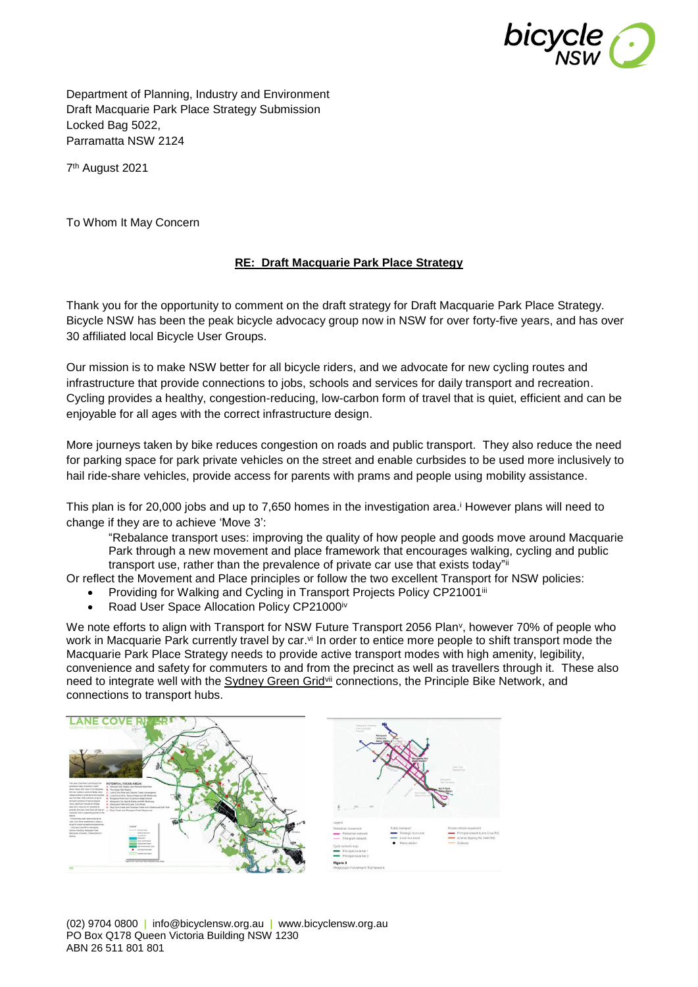

Department of Planning, Industry and Environment Draft Macquarie Park Place Strategy Submission Locked Bag 5022, Parramatta NSW 2124

7 th August 2021

To Whom It May Concern

## **RE: [Draft Macquarie Park Place](https://yoursay.woollahra.nsw.gov.au/54579/widgets/283767/documents/204092) Strategy**

Thank you for the opportunity to comment on the draft strategy for Draft Macquarie Park Place Strategy. Bicycle NSW has been the peak bicycle advocacy group now in NSW for over forty-five years, and has over 30 affiliated local Bicycle User Groups.

Our mission is to make NSW better for all bicycle riders, and we advocate for new cycling routes and infrastructure that provide connections to jobs, schools and services for daily transport and recreation. Cycling provides a healthy, congestion-reducing, low-carbon form of travel that is quiet, efficient and can be enjoyable for all ages with the correct infrastructure design.

More journeys taken by bike reduces congestion on roads and public transport. They also reduce the need for parking space for park private vehicles on the street and enable curbsides to be used more inclusively to hail ride-share vehicles, provide access for parents with prams and people using mobility assistance.

This plan is for 20,000 jobs and up to 7,650 homes in the investigation area. <sup>i</sup> However plans will need to change if they are to achieve 'Move 3':

"Rebalance transport uses: improving the quality of how people and goods move around Macquarie Park through a new movement and place framework that encourages walking, cycling and public transport use, rather than the prevalence of private car use that exists today"i

Or reflect the Movement and Place principles or follow the two excellent Transport for NSW policies:

- Providing for Walking and Cycling in Transport Projects Policy CP21001iii
- Road User Space Allocation Policy CP21000iv

We note efforts to align with Transport for NSW Future Transport 2056 Plan<sup>v</sup>, however 70% of people who work in Macquarie Park currently travel by car.<sup>vi</sup> In order to entice more people to shift transport mode the Macquarie Park Place Strategy needs to provide active transport modes with high amenity, legibility, convenience and safety for commuters to and from the precinct as well as travellers through it. These also need to integrate well with the Sydney Green Gridvii connections, the Principle Bike Network, and connections to transport hubs.

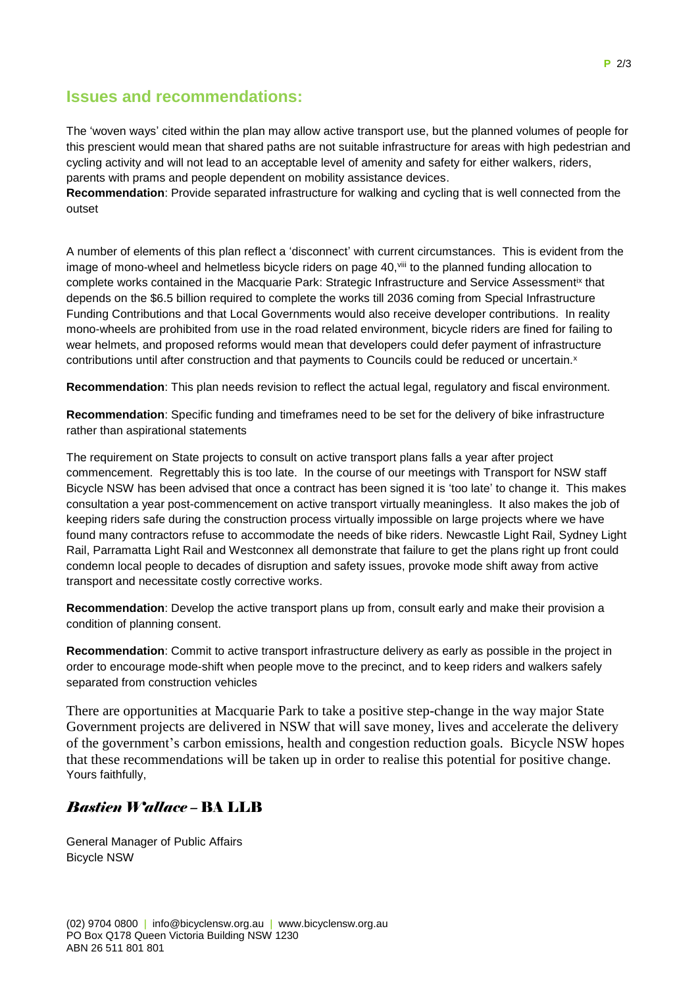## **Issues and recommendations:**

The 'woven ways' cited within the plan may allow active transport use, but the planned volumes of people for this prescient would mean that shared paths are not suitable infrastructure for areas with high pedestrian and cycling activity and will not lead to an acceptable level of amenity and safety for either walkers, riders, parents with prams and people dependent on mobility assistance devices.

**Recommendation**: Provide separated infrastructure for walking and cycling that is well connected from the outset

A number of elements of this plan reflect a 'disconnect' with current circumstances. This is evident from the image of mono-wheel and helmetless bicycle riders on page 40,<sup>viii</sup> to the planned funding allocation to complete works contained in the Macquarie Park: Strategic Infrastructure and Service Assessment<sup>ix</sup> that depends on the \$6.5 billion required to complete the works till 2036 coming from Special Infrastructure Funding Contributions and that Local Governments would also receive developer contributions. In reality mono-wheels are prohibited from use in the road related environment, bicycle riders are fined for failing to wear helmets, and proposed reforms would mean that developers could defer payment of infrastructure contributions until after construction and that payments to Councils could be reduced or uncertain.<sup>x</sup>

**Recommendation**: This plan needs revision to reflect the actual legal, regulatory and fiscal environment.

**Recommendation**: Specific funding and timeframes need to be set for the delivery of bike infrastructure rather than aspirational statements

The requirement on State projects to consult on active transport plans falls a year after project commencement. Regrettably this is too late. In the course of our meetings with Transport for NSW staff Bicycle NSW has been advised that once a contract has been signed it is 'too late' to change it. This makes consultation a year post-commencement on active transport virtually meaningless. It also makes the job of keeping riders safe during the construction process virtually impossible on large projects where we have found many contractors refuse to accommodate the needs of bike riders. Newcastle Light Rail, Sydney Light Rail, Parramatta Light Rail and Westconnex all demonstrate that failure to get the plans right up front could condemn local people to decades of disruption and safety issues, provoke mode shift away from active transport and necessitate costly corrective works.

**Recommendation**: Develop the active transport plans up from, consult early and make their provision a condition of planning consent.

**Recommendation**: Commit to active transport infrastructure delivery as early as possible in the project in order to encourage mode-shift when people move to the precinct, and to keep riders and walkers safely separated from construction vehicles

There are opportunities at Macquarie Park to take a positive step-change in the way major State Government projects are delivered in NSW that will save money, lives and accelerate the delivery of the government's carbon emissions, health and congestion reduction goals. Bicycle NSW hopes that these recommendations will be taken up in order to realise this potential for positive change. Yours faithfully,

## *Bastien Wallace –* BA LLB

General Manager of Public Affairs Bicycle NSW